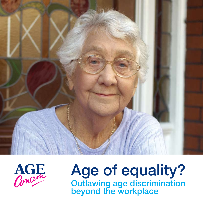



# Age of equality? Outlawing age discrimination beyond the workplace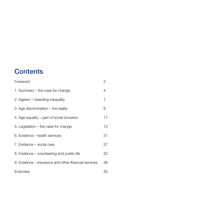# **Contents**

| Foreword                                             | 3  |
|------------------------------------------------------|----|
| 1. Summary $-$ the case for change                   | 4  |
| 2. Ageism – breeding inequality                      | 7  |
| 3. Age discrimination – the reality                  | 9  |
| 4. Age equality – part of social inclusion           | 11 |
| 5. Legislation $-$ the case for change               | 13 |
| 6. Evidence – health services                        | 21 |
| 7. Evidence – social care                            | 27 |
| 8. Evidence – volunteering and public life           | 32 |
| 9. Evidence – insurance and other financial services | 36 |
| Endnotes                                             | 42 |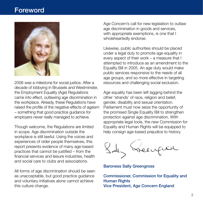# Foreword



2006 was a milestone for social justice. After a decade of lobbying in Brussels and Westminster, the Employment Equality (Age) Regulations came into effect, outlawing age discrimination in the workplace. Already, these Regulations have raised the profile of the negative effects of ageism – something that good practice guidance for employers never really managed to achieve.

Though welcome, the Regulations are limited in scope. Age discrimination outside the workplace is still lawful. Using the voices and experiences of older people themselves, this report presents evidence of many age-based practices that cannot be justified – from the financial services and leisure industries, health and social care to clubs and associations.

All forms of age discrimination should be seen as unacceptable, but good practice guidance and voluntary initiatives alone cannot achieve this culture change.

Age Concern's call for new legislation to outlaw age discrimination in goods and services, with appropriate exemptions, is one that I wholeheartedly endorse.

Likewise, public authorities should be placed under a legal duty to promote age equality in every aspect of their work – a measure that I attempted to introduce as an amendment to the Equality Bill in 2005. An age duty would make public services responsive to the needs of all age groups, and so more effective in targeting resources and challenging social exclusion.

Age equality has been left lagging behind the other 'strands' of race, religion and belief, gender, disability and sexual orientation. Parliament must now seize the opportunity of the promised Single Equality Bill to strengthen protection against age discrimination. With appropriate legal tools, the new Commission for Equality and Human Rights will be equipped to help consign age-based prejudice to history.



Baroness Sally Greengross

Commissioner, Commission for Equality and **Human Rights** Vice President, Age Concern England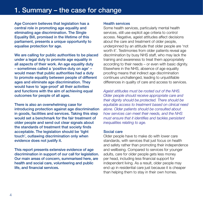# 1. Summary – the case for change

Age Concern believes that legislation has a central role in promoting age equality and eliminating age discrimination. The Single Equality Bill, promised in the lifetime of this parliament, presents a unique opportunity to equalise protection for age.

We are calling for public authorities to be placed under a legal duty to promote age equality in all aspects of their work. An age equality duty – sometimes called a 'positive duty on age' – would mean that public authorities had a duty to promote equality between people of different ages and eliminate age discrimination. They would have to 'age-proof' all their activities and functions with the aim of achieving equal outcomes for people of all ages.

There is also an overwhelming case for introducing protection against age discrimination in goods, facilities and services. Taking this step would set a benchmark for the fair treatment of older people and send out clear signals about the standards of treatment that society finds acceptable. The legislation should be 'light touch', outlawing discrimination only when evidence does not justify it.

This report presents extensive evidence of age discrimination in support of our call for legislation. Our main areas of concern, summarised here, are health and social care, volunteering and public life, and financial services.

### Health services

Some health services, particularly mental health services, still use explicit age criteria to control access. Negative, ageist attitudes affect decisions about the care and treatment of older people, underpinned by an attitude that older people are 'not worth it'. Testimonies from older patients reveal age discrimination by busy NHS staff, who may lack the training and awareness to treat them appropriately according to their needs – or even with basic dignity. Elsewhere in the NHS, absence of age equality proofing means that indirect age discrimination continues unchallenged, leading to unjustifiable differences in quality of care and access to services.

*Ageist attitudes must be rooted out of the NHS. Older people should receive appropriate care and their dignity should be protected. There should be equitable access to treatment based on clinical need alone. Older patients should be consulted about how services can meet their needs, and the NHS must ensure that it identifies and tackles persistent inequalities relating to age.*

#### Social care

Older people have to make do with lower care standards, with services that just focus on health and safety rather than promoting their independence and wellbeing. Compared to services for younger adults, care for older people gets less money per head, including less financial support for independent living. As a result, older people may end up in residential care just because it is cheaper than helping them to stay in their own homes.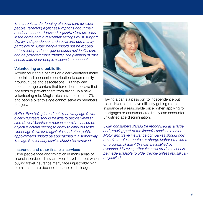*The chronic under funding of social care for older people, reflecting ageist assumptions about their needs, must be addressed urgently. Care provided in the home and in residential settings must support dignity, independence, and social and community participation. Older people should not be robbed of their independence just because residential care can be provided more cheaply. The planning of care should take older people's views into account.*

#### Volunteering and public life

Around four and a half million older volunteers make a social and economic contribution to community groups, clubs and associations. But they can encounter age barriers that force them to leave their positions or prevent them from taking up a new volunteering role. Magistrates have to retire at 70, and people over this age cannot serve as members of a jury.

*Rather than being forced out by arbitrary age limits, older volunteers should be able to decide when to step down. Volunteer selection should be based on objective criteria relating to ability to carry out tasks. Upper age limits for magistrates and other public appointments should be approached in a similar way. The age limit for Jury service should be removed.*

### Insurance and other financial services

Older people face discrimination in many areas of financial services. They are keen travellers, but when buying travel insurance many face unjustifiably high premiums or are declined because of their age.



Having a car is a passport to independence but older drivers often have difficulty getting motor insurance at a reasonable price. When applying for mortgages or consumer credit they can encounter unjustified age discrimination.

*Older consumers should be recognised as a large and growing part of the financial services market. Motor and travel insurance companies should only be able to refuse quotes or charge higher premiums on grounds of age if this can be justified by evidence. Likewise, other financial products should be made available to older people unless refusal can be justified.*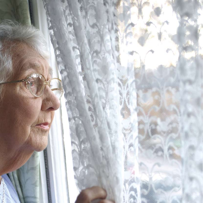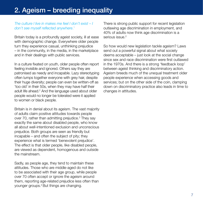# 2. Ageism – breeding inequality

# *The culture I live in makes me feel I don't exist – I don't see myself reflected anywhere*. 1

Britain today is a profoundly ageist society, ill at ease with demographic change. Everywhere older people turn they experience casual, unthinking prejudice – in the community, in the media, in the marketplace and in their dealings with public services.

In a culture fixated on youth, older people often report feeling invisible and ignored. Others say they are patronised as needy and incapable. Lazy stereotyping often lumps together everyone with grey hair, despite their huge diversity; people can even be written-off as 'too old' in their 50s, when they may have half their adult life ahead.<sup>2</sup> And the language used about older people would no longer be tolerated were it applied to women or black people.

Britain is in denial about its ageism. The vast majority of adults claim positive attitudes towards people over 70, rather than admitting prejudice.<sup>3</sup> They say exactly the same about disabled people, who know all about well-intentioned exclusion and unconscious prejudice. Both groups are seen as friendly but incapable – and often the subject of pity; they experience what is termed 'benevolent prejudice'. The effect is that older people, like disabled people, are viewed as dependent, homogenous and outside the mainstream.

Sadly, as people age, they tend to maintain these attitudes. Those who are middle-aged do not like to be associated with their age group, while people over 70 often accept or ignore the ageism around them, reporting age-related prejudice less often than younger groups.2 But things are changing.

There is strong public support for recent legislation outlawing age discrimination in employment, and 40% of adults now think age discrimination is a serious issue.<sup>2</sup>

So how would new legislation tackle ageism? Laws send out a powerful signal about what society deems acceptable – just look at the social change since sex and race discrimination were first outlawed in the 1970s. And there is a strong 'feedback loop' between ageist thinking and discriminatory action. Ageism breeds much of the unequal treatment older people experience when accessing goods and services; but on the other side of the coin, clamping down on discriminatory practice also leads in time to changes in attitudes.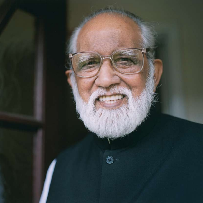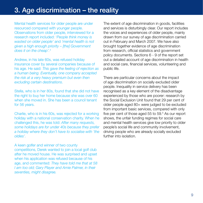# 3. Age discrimination – the reality

Mental health services for older people are under resourced compared with younger people. Observations from older people, interviewed for a research report included: '*People think money is wasted on older people'* and *'mental health is not given a high enough priority – [the] Government does it on the cheap'.*<sup>4</sup>

Andrew, in his late 60s, was refused holiday insurance cover by several companies because of his age. He said: *This gave the feeling of rejection as a human being. Eventually, one company accepted the risk at a very heavy premium but even then excluding certain destinations*.

Stella, who is in her 80s, found that she did not have the right to buy her home because she was over 60 when she moved in. She has been a council tenant for 56 years.

Charlie, who is in his 60s, was rejected for a working holiday with a national conservation charity. When he challenged this, he was told: *After many requests, some holidays are for under 40s because they prefer a holiday where they don't have to socialise with 'the oldies'.*

A keen golfer and winner of two county competitions, Derek wanted to join a local golf club after he moved house. He was surprised and upset when his application was refused because of his age, and commented: *They have told me that at 58 I am too old; Gary Player and Arnie Palmer, in their seventies, might disagree.*

The extent of age discrimination in goods, facilities and services is disturbingly clear. Our report includes the voices and experiences of older people, mainly drawn from our survey of age discrimination carried out in February and March 2007. We have also brought together evidence of age discrimination from research, official statistics and government policy documents. Sections 6 - 9 of the report set out a detailed account of age discrimination in health and social care, financial services, volunteering and public life.

There are particular concerns about the impact of age discrimination on socially excluded older people. Inequality in service delivery has been recognised as a key element of the disadvantage experienced by those who are poorer: research by the Social Exclusion Unit found that 29 per cent of older people aged 80+ were judged to be excluded from important basic services, compared with only five per cent of those aged 55 to 59.<sup>5</sup> As our report shows, the unfair funding regimes for social care and mental health services give low priority to older people's social life and community involvement, driving people who are already socially excluded further into isolation.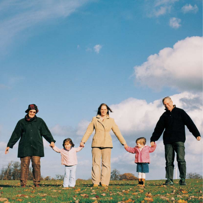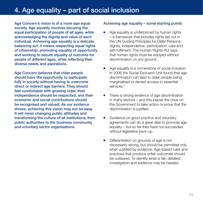# 4. Age equality – part of social inclusion

Age Concern's vision is of a more age equal society. Age equality involves securing the equal participation of people of all ages, while acknowledging the dignity and value of each individual. Achieving age equality is a delicate balancing act: it means respecting equal rights of citizenship, promoting equality of opportunity and working to secure equality of outcome for people of different ages, while reflecting their diverse needs and aspirations.

Age Concern believes that older people should have the opportunity to participate fully in society without having to overcome direct or indirect age barriers. They should feel comfortable with growing older, their independence should be respected, and their economic and social contributions should be recognised and valued. As our evidence shows, achieving this vision may not be easy. It will mean changing public attitudes and transforming the culture of all institutions, from public authorities to the business community and voluntary sector organisations.

#### Achieving age equality – some starting points

- Age equality is underpinned by human rights – a framework that includes rights set out in the UN Guiding Principles for Older Persons: dignity, independence, participation, care and self-fulfilment. The Human Rights Act says that human rights must be enjoyed without discrimination on any ground.
- Age equality is a cornerstone of social inclusion. In 2006 the Social Exclusion Unit found that age discrimination can lead to older people being marginalised or denied access to essential services.<sup>5</sup>
- There is strong evidence of age discrimination in many sectors – and this places the onus on the Government to take action or prove that the discrimination is justified.
- Guidance on good practice and voluntary agreements can do a great deal to promote age equality – but so far they have not succeeded without legislative back-up.
- Differentiation on grounds of age is not necessarily wrong, but should be permitted only when justified by evidence. Age-based rules and practices that produce unfair outcomes should be outlawed. To identify what is fair, detailed investigation and evidence may be needed.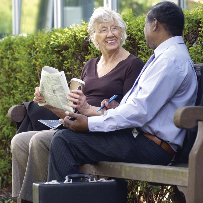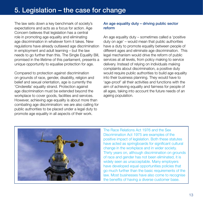# 5. Legislation – the case for change

The law sets down a key benchmark of society's expectations and acts as a focus for action. Age Concern believes that legislation has a central role in promoting age equality and eliminating age discrimination in whatever form it takes. New regulations have already outlawed age discrimination in employment and adult learning – but the law needs to go further than this. The Single Equality Bill, promised in the lifetime of this parliament, presents a unique opportunity to equalise protection for age.

Compared to protection against discrimination on grounds of race, gender, disability, religion and belief and sexual orientation, age is currently the 'Cinderella' equality strand. Protection against age discrimination must be extended beyond the workplace to cover goods, facilities and services. However, achieving age equality is about more than combating age discrimination: we are also calling for public authorities to be placed under a legal duty to promote age equality in all aspects of their work.

# An age equality duty – driving public sector reform

An age equality duty – sometimes called a 'positive duty on age' – would mean that public authorities have a duty to promote equality between people of different ages and eliminate age discrimination. This legal mechanism would drive the reform of public services at all levels, from policy making to service delivery. Instead of relying on individuals making complaints about discrimination, a positive duty would require public authorities to build age equality into their business planning. They would have to 'age-proof' all their activities and functions with the aim of achieving equality and fairness for people of all ages, taking into account the future needs of an ageing population.



The Race Relations Act 1976 and the Sex Discrimination Act 1975 are examples of the positive impact of legislation. Both these statutes have acted as springboards for significant cultural change in the workplace and in wider society. Thirty years on, although discrimination on grounds of race and gender has not been eliminated, it is widely seen as unacceptable. Many employers have developed equal opportunities policies that go much further than the basic requirements of the law. Most businesses have also come to recognise the benefits of having a diverse customer base.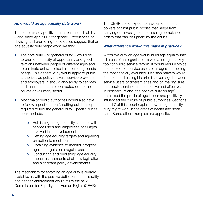# *How would an age equality duty work?*

There are already positive duties for race, disability – and since April 2007 for gender. Experiences of devising and promoting those duties suggest that an age equality duty might work like this:

- The core duty or 'general duty' would be to promote equality of opportunity and good relations between people of different ages and to eliminate unlawful discrimination on grounds of age. This general duty would apply to public authorities as policy makers, service providers and employers. It should also apply to services and functions that are contracted out to the private or voluntary sector.
- Most major public authorities would also have to follow 'specific duties', setting out the steps required to fulfil the general duty. Specific duties could include:
	- o Publishing an age equality scheme, with service users and employees of all ages involved in its development;
	- o Setting age equality targets and agreeing on action to meet them;
	- o Obtaining evidence to monitor progress against targets on a regular basis;
	- o Conducting and publishing age equality impact assessments of all new legislation and significant policy developments.

The mechanism for enforcing an age duty is already available: as with the positive duties for race, disability and gender, enforcement would fall to the new Commission for Equality and Human Rights (CEHR).

The CEHR could expect to have enforcement powers against public bodies that range from carrying out investigations to issuing compliance orders that can be upheld by the courts.

#### *What difference would this make in practice?*

A positive duty on age would build age equality into all areas of an organisation's work, acting as a key tool for public service reform. It would require 'voice and choice' for service users of all ages – including the most socially excluded. Decision makers would focus on addressing historic disadvantage between service users of different ages and on making sure that public services are responsive and effective. In Northern Ireland, the positive duty on  $aq e^6$ has raised the profile of age issues and positively influenced the culture of public authorities. Sections 6 and 7 of this report explain how an age equality duty might work in the areas of health and social care. Some other examples are opposite.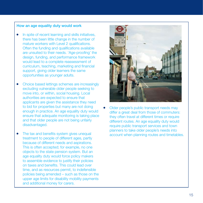### How an age equality duty would work

- In spite of recent learning and skills initiatives, there has been little change in the number of mature workers with Level 2 qualifications. Often the funding and qualifications available are unsuited to their needs. 'Age-proofing' the design, funding, and performance framework would lead to a complete reassessment of curriculum, teaching, marketing and financial support, giving older learners the same opportunities as younger adults.
- Choice based lettings schemes are increasingly excluding vulnerable older people seeking to move into, or within, social housing. Local authorities are expected to ensure that applicants are given the assistance they need to bid for properties but many are not doing enough in practice. An age equality duty would ensure that adequate monitoring is taking place and that older people are not being unfairly disadvantaged.
- The tax and benefits system gives unequal treatment to people of different ages, partly because of different needs and aspirations. This is often accepted; for example, no one objects to the state pension system. But an age equality duty would force policy makers to assemble evidence to justify their policies on taxes and benefits. This could lead over time, and as resources permit, to indefensible policies being amended – such as those on the upper age limits for disability mobility payments and additional money for carers.



• Older people's public transport needs may differ a great deal from those of commuters: they often travel at different times or require different routes. An age equality duty would require public transport services and town planners to take older people's needs into account when planning routes and timetables.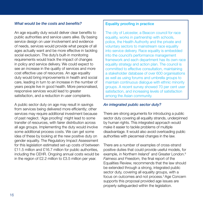#### *What would be the costs and benefits?*

An age equality duty would deliver clear benefits to public authorities and service users alike. By basing service design on user involvement and evidence of needs, services would provide what people of all ages actually want and be more effective in tackling social exclusion. The duty's built-in monitoring requirements would track the impact of changes in policy and service delivery. We could expect to see an increase in the quality of services and more cost effective use of resources. An age equality duty would bring improvements in health and social care, leading in turn to an increase in the number of years people live in good health. More personalised, responsive services would lead to greater satisfaction, and a reduction in user complaints.

A public sector duty on age may result in savings from services being delivered more efficiently; other services may require additional investment because of past neglect. 'Age proofing' might lead to some transfer of resources, with fairer distribution across all age groups. Implementing the duty would involve some additional process costs. We can get some idea of these by looking at the new positive duty on gender equality. The Regulatory Impact Assessment for this legislation estimated set-up costs of between £11.5 million and £16.7 million for public authorities, including the CEHR. Ongoing annual costs would be in the region of £2.2 million to £3.5 million per year.

### Equality proofing in practice

The city of Leicester, a Beacon council for race equality, works in partnership with schools, police, the Health Authority and the private and voluntary sectors to mainstream race equality into service delivery. Race equality is embedded into the council's performance management framework and each department has its own race equality strategy and action plan. The council is committed to effective consultation, maintaining a stakeholder database of over 600 organisations as well as using forums and umbrella groups to maintain continuous dialogue with ethnic minority groups. A recent survey showed 70 per cent user satisfaction, and increasing levels of satisfaction among the Asian community.

### *An integrated public sector duty?*

There are strong arguments for introducing a public sector duty covering all equality strands, underpinned by human rights. This integrated approach would make it easier to tackle problems of multiple disadvantage. It would also avoid overloading public authorities with piecemeal changes in the law.

There are a number of examples of cross-strand positive duties that could provide useful models, for example, in Northern Ireland<sup>7</sup> and Greater London.<sup>8</sup> *Fairness and Freedom,* the final report of the Equalities Review, recommends that the law should be extended through a strong, integrated public sector duty, covering all equality groups, with a focus on outcomes and not process.3 Age Concern supports this proposal provided age issues are properly safeguarded within the legislation.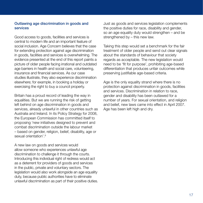# Outlawing age discrimination in goods and services

Good access to goods, facilities and services is central to modern life and an important feature of social inclusion. Age Concern believes that the case for extending protection against age discrimination in goods, facilities and services is overwhelming. The evidence presented at the end of this report paints a picture of older people facing irrational and outdated age barriers in health and social care, volunteering, insurance and financial services. As our case studies illustrate, they also experience discrimination elsewhere; for example, in booking a holiday or exercising the right to buy a council property.

Britain has a proud record of leading the way in equalities. But we are running the risk of getting left behind on age discrimination in goods and services, already unlawful in other countries such as Australia and Ireland. In its Policy Strategy for 2008, the European Commission has committed itself to proposing 'new initiatives designed to prevent and combat discrimination outside the labour market – based on gender, religion, belief, disability, age or sexual orientation'.<sup>9</sup>

A new law on goods and services would allow someone who experiences unlawful age discrimination to challenge it through the courts. Introducing this individual right of redress would act as a deterrent for providers of goods and services in the public, private and voluntary sectors. The legislation would also work alongside an age equality duty, because public authorities have to eliminate unlawful discrimination as part of their positive duties. Just as goods and services legislation complements the positive duties for race, disability and gender, so an age equality duty would strengthen – and be strengthened by – this new law.

Taking this step would set a benchmark for the fair treatment of older people and send out clear signals about the standards of behaviour that society regards as acceptable. The new legislation would need to be 'fit for purpose', prohibiting age-based differentiation that produces unfair outcomes while preserving justifiable age-based criteria.

Age is the only equality strand where there is no protection against discrimination in goods, facilities and services. Discrimination in relation to race, gender and disability has been outlawed for a number of years. For sexual orientation, and religion and belief, new laws came into effect in April 2007. Age has been left high and dry.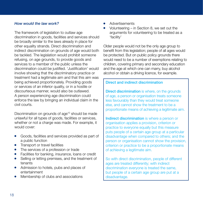# *How would the law work?*

The framework of legislation to outlaw age discrimination in goods, facilities and services should be broadly similar to the laws already in place for other equality strands. Direct discrimination and indirect discrimination on grounds of age would both be tackled. The legislation would prohibit someone refusing, on age grounds, to provide goods and services to a member of the public unless the discrimination could be justified. 'Justification' would involve showing that the discriminatory practice or treatment had a legitimate aim and that this aim was being achieved proportionately. Providing goods or services of an inferior quality, or in a hostile or discourteous manner, would also be outlawed. A person experiencing age discrimination could enforce the law by bringing an individual claim in the civil courts.

Discrimination on grounds of age<sup>10</sup> should be made unlawful for all types of goods, facilities or services, whether or not a charge was made. For example, it would cover:

- Goods, facilities and services provided as part of a public function
- Transport or travel facilities
- The services of a profession or trade
- Facilities for banking, insurance, loans or credit
- Selling or letting premises, and the treatment of tenants
- Admission to hotels, pubs and places of entertainment
- Membership of clubs and associations
- Advertisements
- Volunteering in Section 8, we set out the arguments for volunteering to be treated as a 'facility'

Older people would not be the only age group to benefit from this legislation; people of all ages would be protected. But on public policy grounds there would need to be a number of exemptions relating to children, covering primary and secondary education and the age at which one can marry, buy alcohol alcohol or obtain a driving licence, for example.

# Direct and indirect discrimination

Direct discrimination is where, on the grounds of age, a person or organisation treats someone less favourably than they would treat someone else, and cannot show the treatment to be a proportionate means of achieving a legitimate aim.

Indirect discrimination is where a person or organisation applies a provision, criterion or practice to everyone equally but this measure puts people of a certain age group at a particular disadvantage when compared to others; and the person or organisation cannot show the provision, criterion or practice to be a proportionate means of achieving a legitimate aim.

So with direct discrimination, people of different ages are treated differently; with indirect discrimination everyone is treated the same, but people of a certain age group are put at a disadvantage.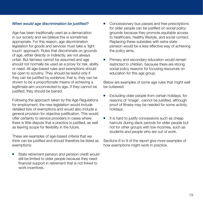# *When would age discrimination be justified?*

Age has been traditionally used as a demarcation in our society and we believe this is sometimes appropriate. For this reason, age discrimination legislation for goods and services must take a 'light touch' approach. Rules that discriminate on grounds of age, either directly or indirectly, are not always unfair. But fairness cannot be assumed and age should not normally be used as a proxy for risk, ability or need. All age-based rules and exemptions should be open to scrutiny. They should be lawful only if they can be justified by evidence; that is, they can be shown to be a proportionate means of achieving a legitimate aim unconnected to age. If they cannot be justified, they should be barred.

Following the approach taken by the Age Regulations for employment, the new legislation would include detailed lists of exemptions and would also include a general provision for objective justification. This would offer certainty to service providers in cases where there is little dispute that a practice is justified, as well as leaving scope for flexibility in the future.

These are examples of age-based criteria that we think can be justified and should therefore be listed as exemptions:

• State retirement pension and pension credit would still be limited to older people because they need financial support in retirement that is not linked to work incentives.

- Concessionary bus passes and free prescriptions for older people can be justified on social policy grounds because they promote equitable access to healthcare, healthy lifestyle, and social contact. Replacing these subsidies with extra state pension would be a less effective way of achieving the policy aims.
- Primary and secondary education would remain restricted to children, because there are strong social policy reasons for focusing resources on education for this age group.

Below are examples of some age rules that might well be outlawed:

- Excluding older people from certain holidays, for reasons of 'image', cannot be justified, although proof of fitness may be needed for some activity holidays.
- It is hard to justify concessions such as cheap haircuts during slack periods for older people but not for other groups with low incomes, such as students and people who are out of work.

Sections 6 to 9 of the report give more examples of how exemptions might work in practice.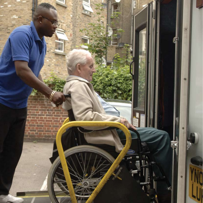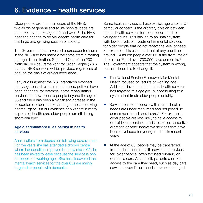# 6. Evidence – health services

Older people are the main users of the NHS; two-thirds of general and acute hospital beds are occupied by people aged 65 and over.<sup>11</sup> The NHS needs to change to deliver decent health care for this large and growing section of society.

The Government has invested unprecedented sums in the NHS and has made a welcome start in rooting out age discrimination. Standard One of the 2001 National Service Framework for Older People (NSF) states: 'NHS services will be provided regardless of age, on the basis of clinical need alone.'

Early audits against the NSF standards exposed many age-based rules. In most cases, policies have been changed; for example, some rehabilitation services are now open to people beyond the age of 65 and there has been a significant increase in the proportion of older people amongst those receiving heart surgery. But our evidence shows that in many aspects of health care older people are still being short-changed.

# Age discriminatory rules persist in health services

Annie suffers from depression following bereavement. For five years she has attended a drop-in centre where her condition improved but now she is 65 she has been asked to leave because the service is only for people of 'working age'. She has discovered that mental health services for the over 65s are mainly targeted at people with dementia.

Some health services still use explicit age criteria. Of particular concern is the arbitrary division between mental health services for older people and for younger adults. This has led to an unfair system with lower levels of investment in mental services for older people that do not reflect the level of need. For example, it is estimated that at any one time around 1.4 million people over 65 suffer from 'major' depression<sup>12</sup> and over 700,000 have dementia.<sup>13</sup> The Government accepts that the system is wrong, but has done little to change it.

- The National Service Framework for Mental Health focused on 'adults of working age'. Additional investment in mental health services has targeted this age group, contributing to a system that treats older people unfairly.
- Services for older people with mental health needs are under-resourced and not joined up across health and social care.14 For example, older people are less likely to have access to out-of-hours services, crisis resolution, assertive outreach or other innovative services that have been developed for younger adults in recent years.
- At the age of 65, people may be transferred from 'adult' mental health services to services for 'older people' often focused primarily on dementia care. As a result, patients can lose access to the care they need, such as day care services, even if their needs have not changed.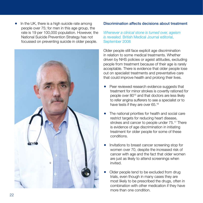In the UK, there is a high suicide rate among people over 75; for men in this age group, the rate is 19 per 100,000 population. However, the National Suicide Prevention Strategy has not focussed on preventing suicide in older people.



# Discrimination affects decisions about treatment

*Whenever a clinical stone is turned over, ageism is revealed.* British Medical Journal editorial, September 2006

Older people still face explicit age discrimination in relation to some medical treatments. Whether driven by NHS policies or ageist attitudes, excluding people from treatment because of their age is rarely acceptable. There is evidence that older people lose out on specialist treatments and preventative care that could improve health and prolong their lives.

- Peer reviewed research evidence suggests that treatment for minor strokes is covertly rationed for people over 8015 and that doctors are less likely to refer angina sufferers to see a specialist or to have tests if they are over 65.16
- The national priorities for health and social care restrict targets for reducing heart disease, strokes and cancer to people under 75.<sup>17</sup> There is evidence of age discrimination in initiating treatment for older people for some of these conditions.
- Invitations to breast cancer screening stop for women over 70, despite the increased risk of cancer with age and the fact that older women are just as likely to attend screenings when invited.
- Older people tend to be excluded from drug trials, even though in many cases they are most likely to be prescribed the drugs, often in combination with other medication if they have more than one condition.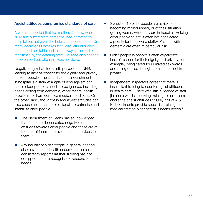#### Ageist attitudes compromise standards of care

A woman reported that her mother, Dorothy, who is 92 and suffers from dementia, was admitted to hospital but not given the help she needed to eat. On many occasions Dorothy's food was left untouched on her bedside table and taken away at the end of mealtimes by the catering staff. Her food also needed to be pureed but often this was not done.

Negative, ageist attitudes still pervade the NHS, leading to lack of respect for the dignity and privacy of older people. The scandal of malnourishment in hospital is a stark example of how ageism can cause older people's needs to be ignored, including needs arising from dementia, other mental health problems, or from complex medical conditions. On the other hand, thoughtless and ageist attitudes can also cause healthcare professionals to patronise and infantilise older people.

- The Department of Health has acknowledged that there are deep-seated negative cultural attitudes towards older people and these are at the root of failure to provide decent services for them  $18$
- Around half of older people in general hospital also have mental health needs<sup>19</sup> but nurses consistently report that their training has not equipped them to recognise or respond to these needs.
- Six out of 10 older people are at risk of becoming malnourished, or of their situation getting worse, while they are in hospital. Helping older people to eat is often not considered a priority for busy ward staff.<sup>20</sup> Patients with dementia are often at particular risk.
- Older people in hospitals often experience lack of respect for their dignity and privacy; for example, being cared for in mixed sex wards and being denied the right to use the toilet in private.
- Independent inspectors agree that there is insufficient training to counter ageist attitudes in health care. 'There was little evidence of staff [in acute wards] receiving training to help them challenge ageist attitudes.'14 Only half of A & E departments provide specialist training for medical staff on older people's health needs.21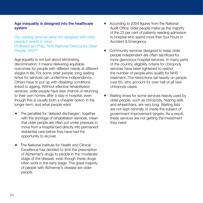# Age inequality is designed into the healthcare system

*Our existing services were not designed with older people's needs in mind.* Professor Ian Philp, NHS National Director for Older People, 2007<sup>22</sup>

Age equality is not just about eliminating discrimination; it means delivering equitable outcomes for people with different needs at different stages in life. For some older people, long waiting times for services can undermine independence. Others have to put up with disabling conditions linked to ageing. Without effective rehabilitation services, older people have less chance of returning to their own homes after a stay in hospital, even though this is usually both a cheaper option in the longer term, and what people want.

- The penalties for 'delayed discharges', together with the shortage of rehabilitation services, mean that older people are often put under pressure to move from a hospital bed directly into permanent residential care before they have had the opportunity to recover.
- The National Institute for Health and Clinical Excellence has decided to limit the prescription of Alzheimer's drugs to people in the 'moderate' stage of the disease, even though these drugs often work in the early stage. The great majority of people with Alzheimer's disease are older people.
- According to 2004 figures from the National Audit Office, older people make up the majority of the 23 per cent of patients needing admission to hospital who spend more than four hours in Accident & Emergency.
- Community services designed to keep older people independent are often sacrificed for more glamorous hospital services. In many parts of the country, eligibility criteria for chiropody services have been tightened to restrict the number of people who qualify for NHS treatment. The restrictions fall heavily on people over 65, who account for over half of all new chiropody cases.
- Waiting times for some services heavily used by older people, such as chiropody, hearing aids and wheelchairs, are very long. Waiting lists are not kept centrally or made the subject of government improvement targets. As a result, these services are not getting the investment they need.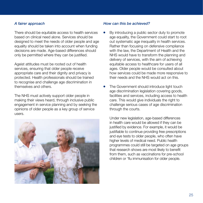## *A fairer approach*

There should be equitable access to health services based on clinical need alone. Services should be designed to meet the needs of older people and age equality should be taken into account when funding decisions are made. Age-based differences should only be permitted where they can be justified.

Ageist attitudes must be rooted out of health services, ensuring that older people receive appropriate care and their dignity and privacy is protected. Health professionals should be trained to recognise and challenge age discrimination in themselves and others.

The NHS must actively support older people in making their views heard, through inclusive public engagement in service planning and by seeking the opinions of older people as a key group of service users.



### *How can this be achieved?*

- By introducing a public sector duty to promote age equality, the Government could start to root out systematic age inequality in health services. Rather than focusing on defensive compliance with the law, the Department of Health and the NHS would have to transform the planning and delivery of services, with the aim of achieving equitable access to healthcare for users of all ages. Older people would be consulted about how services could be made more responsive to their needs and the NHS would act on this.
- The Government should introduce light touch age discrimination legislation covering goods, facilities and services, including access to health care. This would give individuals the right to challenge serious cases of age discrimination through the courts.

Under new legislation, age-based differences in health care would be allowed if they can be justified by evidence. For example, it would be justifiable to continue providing free prescriptions and eye tests to older people, who often have higher levels of medical need. Public health programmes could still be targeted on age groups that research shows are most likely to benefit from them, such as vaccinations for pre-school children or 'flu immunisation for older people.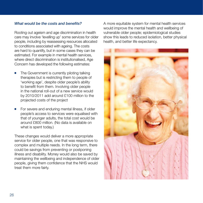## *What would be the costs and benefits?*

Rooting out ageism and age discrimination in health care may involve 'levelling up' some services for older people, including by reassessing resources allocated to conditions associated with ageing. The costs are hard to quantify, but in some cases they can be estimated. For example in mental health services, where direct discrimination is institutionalised, Age Concern has developed the following estimates:

- The Government is currently piloting talking therapies but is restricting them to people of 'working age', despite older people's ability to benefit from them. Involving older people in the national roll-out of a new service would by 2010/2011 add around £100 million to the projected costs of the project
- For severe and enduring mental illness, if older people's access to services were equalised with that of younger adults, the total cost would be around £800 million. (No data is available on what is spent today.)

These changes would deliver a more appropriate service for older people, one that was responsive to complex and multiple needs. In the long term, there could be savings from preventing or postponing illness and disability. Money would also be saved by maintaining the wellbeing and independence of older people, giving them confidence that the NHS would treat them more fairly.

A more equitable system for mental health services would improve the mental health and wellbeing of vulnerable older people; epidemiological studies show this leads to reduced isolation, better physical health, and better life expectancy.

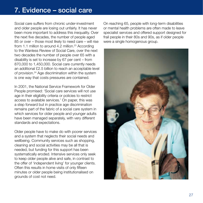# 7. Evidence – social care

Social care suffers from chronic under-investment and older people are losing out unfairly. It has never been more important to address this inequality. Over the next five decades, the number of people aged 85 or over – those most likely to need care – will rise from 1.1 million to around 4.2 million.<sup>23</sup> According to the Wanless Review of Social Care, over the next two decades the number of people over 65 with a disability is set to increase by 67 per cent – from 870,000 to 1,450,000. Social care currently needs an additional £2.5 billion to reach an acceptable level of provision.24 Age discrimination within the system is one way that costs pressures are contained.

In 2001, the National Service Framework for Older People promised: 'Social care services will not use age in their eligibility criteria or policies to restrict access to available services.' On paper, this was a step forward but in practice age discrimination remains part of the fabric of a social care system in which services for older people and younger adults have been managed separately, with very different standards and expectations.

Older people have to make do with poorer services and a system that neglects their social needs and wellbeing. Community services such as shopping, cleaning and social activities may be all that is needed, but funding for this support has been systematically eroded. Intensive services only seek to keep older people alive and safe, in contrast to the offer of 'independent living' for younger clients. Often this results in home visits of only fifteen minutes or older people being institutionalised on grounds of cost not need.

On reaching 65, people with long-term disabilities or mental health problems are often made to leave specialist services and offered support designed for frail people in their 80s and 90s, as if older people were a single homogenous group.

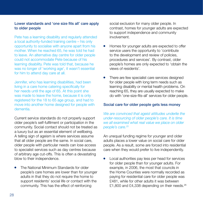# Lower standards and 'one size fits all' care apply to older people

Pete has a learning disability and regularly attended a local authority-funded training centre – his only opportunity to socialise with anyone apart from his mother. When he reached 65, he was told he had to leave. An alternative day centre for older people could not accommodate Pete because of his learning disability. Pete was told that, because he was no longer of 'working age', it wasn't essential for him to attend day care at all.

Jennifer, who has learning disabilities, had been living in a care home catering specifically for her needs until the age of 65. At this point she was made to leave the home, because it is only registered for the 18 to 65 age group, and had to move into another home designed for people with dementia.

Current service standards do not properly support older people's self-fulfilment or participation in the community. Social contact should not be treated as a luxury but as an essential element of wellbeing. A telling sign of ageism is where services assume that all older people are the same. In social care, older people with particular needs can lose access to specialist services such as day centres because of arbitrary age cut-offs. This is often a devastating blow to their independence.

• The National Minimum Standards for older people's care homes are lower than for younger adults in that they do not require the home to support residents' social life or contact with the community. This has the effect of reinforcing

social exclusion for many older people. In contrast, homes for younger adults are expected to support independence and community involvement.

- Homes for younger adults are expected to offer service users the opportunity to 'contribute to the development and review of policies, procedures and services'. By contrast, older people's homes are only expected to 'obtain the views of residents'.
- There are few specialist care services designed for older people with long term needs such as learning disability or mental health problems. On reaching 65, they are usually expected to make do with 'one-size-fits-all' services for older people.

#### Social care for older people gets less money

*We are convinced that ageist attitudes underlie the under-resourcing of older people's care. It is time we all examined what real value we place on older people's care.25*

An unequal funding regime for younger and older adults places a lower value on social care for older people. As a result, some are forced into residential care when they would prefer to live independently.

• Local authorities pay less per head for services for older people than for younger adults. For example, in 2006, the most that councils in the Home Counties were normally recorded as paying for residential care for older people was £481, while for other adults it was between £1,800 and £4,338 depending on their needs.<sup>26</sup>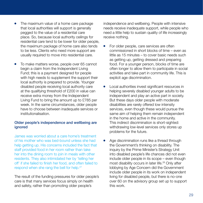- The maximum value of a home care package that local authorities will support is generally pegged to the value of a residential care place. So, because local authority ceilings for residential care tend to be lower for older people, the maximum package of home care also tends to be less. Clients who need more support are usually required to move into residential care.
- To make matters worse, people over 65 cannot begin a claim from the Independent Living Fund; this is a payment designed for people with high needs to supplement the support their local authority is prepared to provide. Younger disabled people receiving local authority care at the qualifying threshold of £200 in value can receive extra money from the Independent Living Fund to bring the amount up to £785 per week. In the same circumstances, older people have to choose between inadequate services or institutionalisation.

#### Older people's independence and wellbeing are ignored

James was worried about a care home's treatment of his mother who was bed-bound unless she had help getting up. His concerns included the fact that staff provided food in her room rather than take her into the dining room to join in meals with other residents. They also intimidated her by 'telling her off' if she failed to finish her food, and often failed to respond when she rang the bell for help.<sup>27</sup>

The result of the funding pressures for older people's care is that many services focus simply on health and safety, rather than promoting older people's

independence and wellbeing. People with intensive needs receive inadequate support, while people who need a little help to sustain quality of life increasingly receive nothing.

- For older people, care services are often commissioned in short blocks of time – even as little as 15 minutes – to cover basic needs such as getting up, getting dressed and preparing food. For a younger person, blocks of time are often longer to allow them to participate in social activities and take part in community life. This is explicit age discrimination.
- Local authorities invest significant resources in helping severely disabled younger adults to be independent and play an active part in society. But these days older people with moderate disabilities are rarely offered low intensity services, even though these would pursue the same aim of helping them remain independent in the home and active in the community. This indirect discrimination is short-sighted: withdrawing low-level services only stores up problems for the future.
- Age discrimination runs like a thread through the Government's thinking on disability. The inquiry by the Prime Minister's Strategy Unit into disabled people's life chances did not even include older people in its scope – even though most disability occurs in later life.28 Only after lobbying by Age Concern did the Government include older people in its work on independent living for disabled people, but there is no-one over 60 on the advisory group set up to support this work.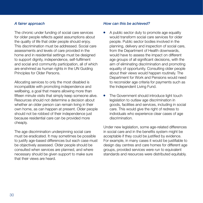### *A fairer approach*

The chronic under funding of social care services for older people reflects ageist assumptions about the quality of life that older people should enjoy. This discrimination must be addressed. Social care assessments and levels of care provided in the home and in residential settings must be designed to support dignity, independence, self-fulfilment and social and community participation, all of which are enshrined as human rights in the UN Guiding Principles for Older Persons.

Allocating services to only the most disabled is incompatible with promoting independence and wellbeing, a goal that means allowing more than fifteen minute visits that simply keep someone alive. Resources should not determine a decision about whether an older person can remain living in their own home, as can happen at present. Older people should not be robbed of their independence just because residential care can be provided more cheaply.

The age discrimination underpinning social care must be eradicated. It may sometimes be possible to justify age-based differences but each case must be objectively assessed. Older people should be consulted when services are planned, and where necessary should be given support to make sure that their views are heard.

#### *How can this be achieved?*

- A public sector duty to promote age equality would transform social care services for older people. Public sector bodies involved in the planning, delivery and inspection of social care, from the Department of Health downwards, would have to assess the impact on different age groups of all significant decisions, with the aim of eliminating discrimination and promoting equality of opportunity. Consulting older people about their views would happen routinely. The Department for Work and Pensions would need to reconsider age criteria for payments such as the Independent Living Fund.
- The Government should introduce light touch legislation to outlaw age discrimination in goods, facilities and services, including in social care. This would give the right of redress to individuals who experience clear cases of age discrimination.

Under new legislation, some age-related differences in social care and in the benefits system might be acceptable if they could be justified by evidence. For example, in many cases it would be justifiable to design day centres and care homes for different age groups, provided services were run to equivalent standards and resources were distributed equitably.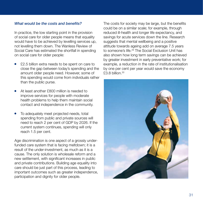### *What would be the costs and benefits?*

In practice, the low starting point in the provision of social care for older people means that equality would have to be achieved by levelling services up, not levelling them down. The Wanless Review of Social Care has estimated the shortfall in spending on social care for older people:

- £2.5 billion extra needs to be spent on care to close the gap between today's spending and the amount older people need. However, some of this spending would come from individuals rather than the public purse.
- At least another £800 million is needed to improve services for people with moderate health problems to help them maintain social contact and independence in the community.
- To adequately meet projected needs, total spending from public and private sources will need to reach 2 per cent of GDP by 2026. If the current system continues, spending will only reach 1.5 per cent.

Age discrimination is one aspect of a grossly underfunded care system that is facing meltdown; it is a result of the under-investment, as much as it is a cause. The only solution is wholesale reform and a new settlement, with significant increases in public and private contributions. Building age equality into care should be just part of this process, leading to important outcomes such as greater independence, participation and dignity for older people.

The costs for society may be large, but the benefits could be on a similar scale; for example, through reduced ill-health and longer life expectancy, and savings for acute services down the line. Research suggests that mental wellbeing and a positive attitude towards ageing add on average 7.5 years to someone's life.<sup>29</sup> The Social Exclusion Unit has also shown how long term savings can be achieved by greater investment in early preventative work; for example, a reduction in the rate of institutionalisation by one per cent per year would save the economy  $£3.8$  billion. $30$ 

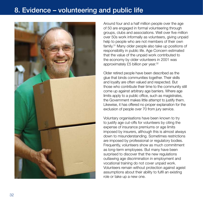# 8. Evidence – volunteering and public life



Around four and a half million people over the age of 50 are engaged in formal volunteering through groups, clubs and associations. Well over five million over 50s work informally as volunteers, giving unpaid help to people who are not members of their own family.31 Many older people also take up positions of responsibility in public life. Age Concern estimated that the value of the unpaid work contributed to the economy by older volunteers in 2001 was approximately £5 billion per year.32

Older retired people have been described as the glue that binds communities together. Their skills and loyalty are often valued and respected. But those who contribute their time to the community still come up against arbitrary age barriers. Where age limits apply to a public office, such as magistrates, the Government makes little attempt to justify them. Likewise, it has offered no proper explanation for the exclusion of people over 70 from jury service.

Voluntary organisations have been known to try to justify age cut-offs for volunteers by citing the expense of insurance premiums or age limits imposed by insurers, although this is almost always down to misunderstanding. Sometimes restrictions are imposed by professional or regulatory bodies. Frequently, volunteers show as much commitment as long-term employees. But many have been surprised to discover that the new regulations outlawing age discrimination in employment and vocational training do not cover unpaid work. Volunteers remain without protection against ageist assumptions about their ability to fulfil an existing role or take up a new one.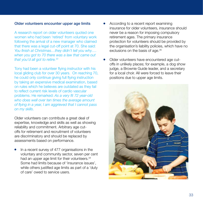#### Older volunteers encounter upper age limits

A research report on older volunteers quoted one women who had been 'retired' from voluntary work following the arrival of a new manager who claimed that there was a legal cut-off point at 70. She said: *You finish at Christmas…they didn't tell you why…. when you got to 70 there was a law that came out that you'd all got to retire.33*

Tony had been a volunteer flying instructor with his local gliding club for over 30 years. On reaching 70, he could only continue giving full flying instruction by taking an expensive medical examination, based on rules which he believes are outdated as they fail to reflect current risk levels of cardio vascular problems. He remarked: *As a very fit 72 year-old who does well over ten times the average amount of flying in a year, I am aggrieved that I cannot pass on my skills*.

Older volunteers can contribute a great deal of expertise, knowledge and skills as well as showing reliability and commitment. Arbitrary age cutoffs for retirement and recruitment of volunteers are discriminatory and should be replaced by assessments based on performance.

• In a recent survey of 477 organisations in the voluntary and community sector, seven per cent had an upper age limit for their volunteers.<sup>34</sup> Some had limits because of 'insurance issues', while others justified age limits as part of a 'duty of care' owed to service users.

- According to a recent report examining insurance for older volunteers, insurance should never be a reason for imposing compulsory retirement ages. The primary insurance protection for volunteers should be provided by the organisation's liability policies, which have no exclusions on the basis of age.<sup>35</sup>
- Older volunteers have encountered age cutoffs in unlikely places; for example, a dog show judge, a Brownie Guide leader, and a secretary for a local choir. All were forced to leave their positions due to upper age limits.

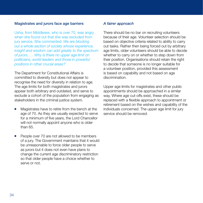#### Magistrates and jurors face age barriers

Usha, from Middlesex, who is over 70, was angry when she found out that she was excluded from jury service. She commented: *We are blocking out a whole section of society whose experience, insight and wisdom can add greatly to the spectrum of jurors. … Why is there no upper age limit on politicians, world leaders and those in powerful positions in other crucial areas?*

The Department for Constitutional Affairs is committed to diversity but does not appear to recognise the need for diversity in relation to age. The age limits for both magistrates and jurors appear both arbitrary and outdated, and serve to exclude a cohort of the population from engaging as stakeholders in the criminal justice system.

- Magistrates have to retire from the bench at the age of 70. As they are usually expected to serve for a minimum of five years, the Lord Chancellor will not normally appoint anyone who is older than 65.
- People over 70 are not allowed to be members of a jury. The Government maintains that it would be unreasonable to force older people to serve as jurors but it does not even have plans to change the current age discriminatory restriction so that older people have a choice whether to serve or not.

## *A fairer approach*

There should be no bar on recruiting volunteers because of their age. Volunteer selection should be based on objective criteria related to ability to carry out tasks. Rather then being forced out by arbitrary age limits, older volunteers should be able to decide whether to carry on or whether to step down from their position. Organisations should retain the right to decide that someone is no longer suitable for a volunteer position, provided this assessment is based on capability and not based on age discrimination.

Upper age limits for magistrates and other public appointments should be approached in a similar way. Where age cut-offs exist, these should be replaced with a flexible approach to appointment or retirement based on the wishes and capability of the individuals concerned. The upper age limit for jury service should be removed.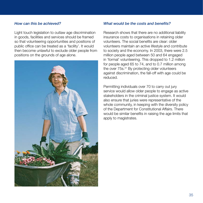### *How can this be achieved?*

Light touch legislation to outlaw age discrimination in goods, facilities and services should be framed so that volunteering opportunities and positions of public office can be treated as a 'facility'. It would then become unlawful to exclude older people from positions on the grounds of age alone.



#### *What would be the costs and benefits?*

Research shows that there are no additional liability insurance costs to organisations in retaining older volunteers. The social benefits are clear: older volunteers maintain an active lifestyle and contribute to society and the economy. In 2003, there were 2.5 million people aged between 50 and 64 engaged in 'formal' volunteering. This dropped to 1.2 million for people aged 65 to 74, and to 0.7 million among the over 75s.<sup>31</sup> By protecting older volunteers against discrimination, the fall-off with age could be reduced.

Permitting individuals over 70 to carry out jury service would allow older people to engage as active stakeholders in the criminal justice system. It would also ensure that juries were representative of the whole community, in keeping with the diversity policy of the Department for Constitutional Affairs. There would be similar benefits in raising the age limits that apply to magistrates.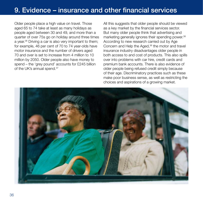# 9. Evidence – insurance and other financial services

Older people place a high value on travel. Those aged 65 to 74 take at least as many holidays as people aged between 30 and 49, and more than a quarter of over 75s go on holiday around three times a year.36 Driving a car is also very important to them; for example, 46 per cent of 70 to 74 year-olds have motor insurance and the number of drivers aged 70 and over is set to increase from 4 million to 10 million by 2050. Older people also have money to spend – the 'grey pound' accounts for £245 billion of the UK's annual spend.<sup>37</sup>

All this suggests that older people should be viewed as a key market by the financial services sector. But many older people think that advertising and marketing generally ignores their spending power.<sup>38</sup> According to new research carried out by Age Concern and Help the Aged.<sup>36</sup> the motor and travel insurance industry disadvantages older people in both access to and cost of products. This also spills over into problems with car hire, credit cards and premium bank accounts. There is also evidence of older people being refused credit simply because of their age. Discriminatory practices such as these make poor business sense, as well as restricting the choices and aspirations of a growing market.

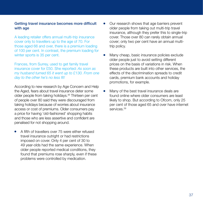# Getting travel insurance becomes more difficult with age

A leading retailer offers annual multi-trip insurance cover only to travellers up to the age of 70. For those aged 66 and over, there is a premium loading of 100 per cent. In contrast, the premium loading for winter sports is 35 per cent.

Frances, from Surrey, used to get family travel insurance cover for £50. She reported: *As soon as my husband turned 65 it went up to £130. From one day to the other he's no less fit!* 

According to new research by Age Concern and Help the Aged, fears about travel insurance deter some older people from taking holidays.36 Thirteen per cent of people over 80 said they were discouraged from taking holidays because of worries about insurance access or cost of premiums. Older consumers pay a price for having 'old-fashioned' shopping habits and those who are less assertive and confident are penalised for not shopping around.

• A fifth of travellers over 75 were either refused travel insurance outright or had restrictions imposed on cover. Only 4 per cent of 30 to 49 year-olds had the same experience. When older people reported medical conditions, they found that premiums rose sharply, even if these problems were controlled by medication.

- Our research shows that age barriers prevent older people from taking out multi-trip travel insurance, although they prefer this to single-trip cover. Those over 80 can rarely obtain annual cover; only two per cent have an annual multitrip policy.
- Many cheap, basic insurance policies exclude older people just to avoid setting different prices on the basis of variations in risk. When these products are built into other services, the effects of the discrimination spreads to credit cards, premium bank accounts and holiday promotions, for example.
- Many of the best travel insurance deals are found online where older consumers are least likely to shop. But according to Ofcom, only 25 per cent of those aged 65 and over have internet services.<sup>39</sup>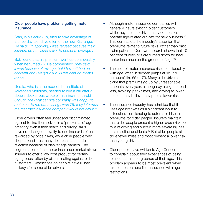### Older people have problems getting motor insurance

Stan, in his early 70s, tried to take advantage of a three day test drive offer for the new Kia range. He said: *On applying, I was refused because their insurers do not issue cover to persons 'overage'.* 

Bob found that his premium went up considerably when he turned 75. He commented: *They said it was because of my age, but I haven't had an accident and I've got a full 60 per cent no-claims bonus.*

Gerald, who is a member of the Institute of Advanced Motorists, needed to hire a car after a double decker bus wrote off his nine-month-old Jaguar. *The local car hire company was happy to rent a car to me but hearing I was 78, they informed me that their insurance company would not allow it.* 

Older drivers often feel upset and discriminated against to find themselves in a 'problematic' age category even if their health and driving skills have not changed. Loyalty to one insurer is often rewarded by price hikes, while older people who shop around – as many do – can face hurtful rejection because of blanket age barriers. The segmentation of the motor insurance market allows insurers to offer a low cost product for certain age groups, often by discriminating against older customers. Restrictions on car hire have ruined holidays for some older drivers.

- Although motor insurance companies will generally insure existing older customers while they are fit to drive, many companies operate age-related cut-offs for new business.40 This contradicts the industry's assertion that premiums relate to future risks, rather than past claim patterns. Our own research shows that 10 per cent of over-75s are turned down for new motor insurance on the grounds of age.36
- The cost of motor insurance rises considerably with age, often in sudden jumps at 'round numbers' like 65 or 70. Many older drivers claim that premiums go up by unreasonable amounts every year, although by using the road less, avoiding peak times, and driving at lower speeds, they believe they pose a lower risk.
- The insurance industry has admitted that it uses age brackets as a significant input to risk calculation, leading to automatic hikes in premiums for older people. Insurers maintain that older people present a higher crash risk per mile of driving and sustain more severe injuries as a result of accidents.40 But older people also drive fewer miles and most present a lower risk than young drivers.
- Older people have written to Age Concern to complain about their experiences of being refused car hire on grounds of their age. This problem appears to be most prevalent when hire companies use fleet insurance with age restrictions.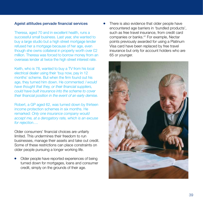### Ageist attitudes pervade financial services

Theresa, aged 70 and in excellent health, runs a successful small business. Last year, she wanted to buy a large studio but a high street mortgage lender refused her a mortgage because of her age, even though she owns collateral in property worth over £2 million. Theresa was forced to borrow money from an overseas lender at twice the high street interest rate.

Keith, who is 78, wanted to buy a TV from his local electrical dealer using their 'buy now, pay in 12 months' scheme. But when the firm found out his age, they turned him down. He commented: *I would have thought that they, or their financial suppliers, could have built insurance into the scheme to cover their financial position in the event of an early demise.*

Robert, a GP aged 62, was turned down by thirteen income protection schemes in six months. He remarked: *Only one insurance company would accept me, at a derogatory rate, which is an excuse for rejection….*

Older consumers' financial choices are unfairly limited. This undermines their freedom to run businesses, manage their assets and take out credit. Some of these restrictions can place constraints on older people pursuing a longer working life.

• Older people have reported experiences of being turned down for mortgages, loans and consumer credit, simply on the grounds of their age.

There is also evidence that older people have encountered age barriers in 'bundled products', such as free travel insurance, from credit card companies or banks.41 For example, Nectar points previously awarded for using a Platinum Visa card have been replaced by free travel insurance but only for account holders who are 65 or younger.

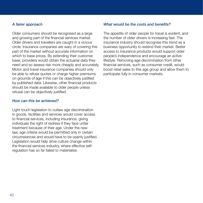# *A fairer approach*

Older consumers should be recognised as a large and growing part of the financial services market. Older drivers and travellers are caught in a vicious circle. Insurance companies are wary of covering this part of the market without accurate information on which to base prices. By extending their customer base, providers would obtain the actuarial data they need and so assess risk more cheaply and accurately. Motor and travel insurance companies should only be able to refuse quotes or charge higher premiums on grounds of age if this can be objectively justified by published data. Likewise, other financial products should be made available to older people unless refusal can be objectively justified.

#### *How can this be achieved?*

Light touch legislation to outlaw age discrimination in goods, facilities and services would cover access to financial services, including insurance, giving individuals the right of redress if they face unfair treatment because of their age. Under the new law, age criteria would be permitted only in certain circumstances and would have to be openly justified. Legislation would help drive culture change within the financial services industry, where effective selfregulation has so far failed to materialise.

#### *What would be the costs and benefits?*

The appetite of older people for travel is evident, and the number of older drivers is increasing fast. The insurance industry should recognise this trend as a business opportunity to extend their market. Better access to insurance products would support older people's independence and encourage an active lifestyle. Removing age discrimination from other financial services, such as consumer credit, would boost retail sales to this age group and allow them to participate fully in consumer markets.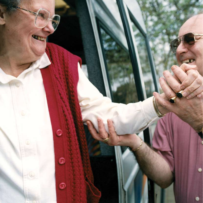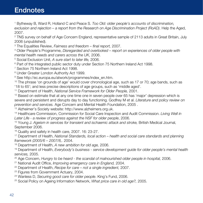# **Endnotes**

1 Bytheway B, Ward R, Holland C and Peace S. *Too Old: older people's accounts of discrimination, exclusion and rejection – a report from the Research on Age Discrimination Project (RoAD)*. Help the Aged, 2007.

2 TNS survey on behalf of Age Concern England, representative sample of 2113 adults in Great Britain, July 2006 (unpublished).

3 The Equalities Review, *Fairness and freedom – final report,* 2007.

4 Older People's Programme, *Disregarded and overlooked – report on experiences of older people with mental health needs and carers across the UK,* 2006.

- 5 Social Exclusion Unit, *A sure start to later life,* 2006.
- <sup>6</sup> Part of the integrated public sector duty under Section 75 Northern Ireland Act 1998.

7 Section 75 Northern Ireland Act 1998.

8 Under Greater London Authority Act 1999.

9 See http://ec.europa.eu/atwork/programmes/index\_en.htm.

<sup>10</sup> The phrase 'on grounds of age' would cover chronological age, such as 17 or 70; age bands, such as

'18 to 65'; and less precise descriptions of age groups, such as 'middle aged'.

11 Department of Health, *National Service Framework for Older People,* 2001.

<sup>12</sup> Based on estimate that at any one time one in seven people over 65 has 'major' depression which is severe and persistent and disrupts day to day functioning. Godfrey M et al. *Literature and policy review on prevention and services.* Age Concern and Mental Health Foundation, 2005 .

13 Alzheimer's Society website: http://www.alzheimers.org.uk.

14 Healthcare Commission, Commission for Social Care Inspection and Audit Commission. *Living Well in Later Life - a review of progress against the NSF for older people*, 2006.

<sup>15</sup> Young J. Ageism in services for transient and ischaemic attack and stroke, British Medical Journal, September 2006.

16 Quality and safety in health care, 2007. 16: 23-27.

17 Department of Health, *National Standards, local action – health and social care standards and planning framework (2005/6 – 2007/8,.* 2004.

18 Department of Health, *A new ambition for old age,* 2006.

19 Department of Health, *Everybody's business - service development guide for older people's mental health services,* 2005.

20 Age Concern, *Hungry to be heard - the scandal of malnourished older people in hospital,* 2006.

- 21 National Audit Office, *Improving emergency care in England,* 2004.
- 22 Department of Health, *Recipe for care not a single ingredient,* 2007.
- <sup>23</sup> Figures from Government Actuary, 2004.

24 Wanless D, *Securing good care for older people*. King's Fund, 2006.

25 Social Policy on Ageing Information Network, *What price care in old age?,* 2005.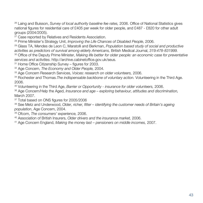26 Laing and Buisson, *Survey of local authority baseline fee rates,* 2006. Office of National Statistics gives national figures for residential care of £405 per week for older people, and £487 - £820 for other adult groups (2004/2005).

<sup>27</sup> Case reported by Relatives and Residents Association.

28 Prime Minister's Strategy Unit, *Improving the Life Chances of Disabled People*, 2006.

29 Glass TA, Mendes de Leon C, Maratolli and Berkman, *Population based study of social and productive activities as predictors of survival among elderly Americans,* British Medical Journal, *319:478-831999.*

30 Office of the Deputy Prime Minister, *Making life better for older people: an economic case for preventative services and activities*. http://archive.cabinetoffice.gov.uk/seus.

31 Home Office Citizenship Survey – figures for 2003.

32 Age Concern, *The Economy and Older People,* 2004.

33 Age Concern Research Services, *Voices: research on older volunteers,* 2006.

34 Rochester and Thomas.*The indispensable backbone of voluntary action.* Volunteering in the Third Age. 2006.

35 Volunteering in the Third Age, *Barrier or Opportunity - insurance for older volunteers,* 2006.

36 Age Concern/Help the Aged, *Insurance and age – exploring behaviour, attitudes and discrimination,*  March 2007.

<sup>37</sup> Total based on ONS figures for 2005/2006

38 See Metz and Underwood, *Older, richer, fitter – identifying the customer needs of Britain's ageing population*, Age Concern, 2004.

39 Ofcom, *The consumers' experience,* 2006.

40 Association of British Insurers, *Older drivers and the insurance market,* 2006. 41 Age Concern England, *Making the money last – pensioners on middle incomes,* 2007.